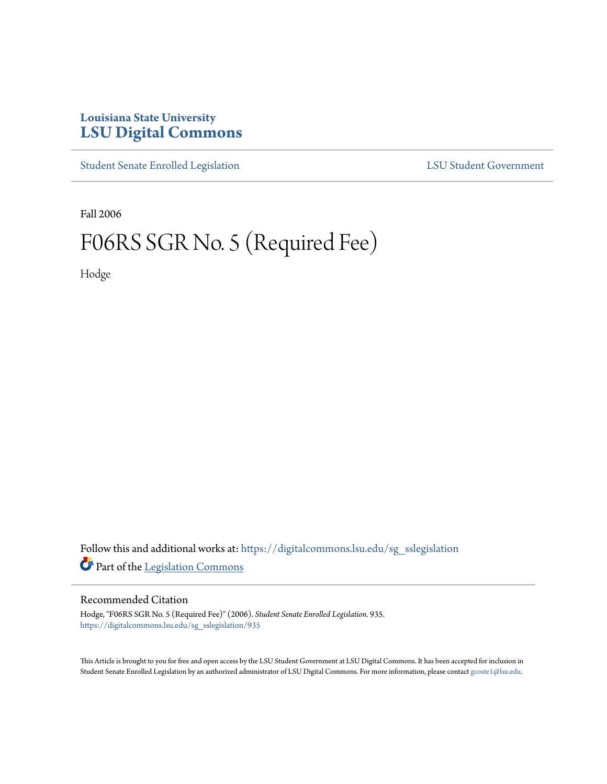## **Louisiana State University [LSU Digital Commons](https://digitalcommons.lsu.edu?utm_source=digitalcommons.lsu.edu%2Fsg_sslegislation%2F935&utm_medium=PDF&utm_campaign=PDFCoverPages)**

[Student Senate Enrolled Legislation](https://digitalcommons.lsu.edu/sg_sslegislation?utm_source=digitalcommons.lsu.edu%2Fsg_sslegislation%2F935&utm_medium=PDF&utm_campaign=PDFCoverPages) [LSU Student Government](https://digitalcommons.lsu.edu/sg?utm_source=digitalcommons.lsu.edu%2Fsg_sslegislation%2F935&utm_medium=PDF&utm_campaign=PDFCoverPages)

Fall 2006

## F06RS SGR No. 5 (Required Fee)

Hodge

Follow this and additional works at: [https://digitalcommons.lsu.edu/sg\\_sslegislation](https://digitalcommons.lsu.edu/sg_sslegislation?utm_source=digitalcommons.lsu.edu%2Fsg_sslegislation%2F935&utm_medium=PDF&utm_campaign=PDFCoverPages) Part of the [Legislation Commons](http://network.bepress.com/hgg/discipline/859?utm_source=digitalcommons.lsu.edu%2Fsg_sslegislation%2F935&utm_medium=PDF&utm_campaign=PDFCoverPages)

## Recommended Citation

Hodge, "F06RS SGR No. 5 (Required Fee)" (2006). *Student Senate Enrolled Legislation*. 935. [https://digitalcommons.lsu.edu/sg\\_sslegislation/935](https://digitalcommons.lsu.edu/sg_sslegislation/935?utm_source=digitalcommons.lsu.edu%2Fsg_sslegislation%2F935&utm_medium=PDF&utm_campaign=PDFCoverPages)

This Article is brought to you for free and open access by the LSU Student Government at LSU Digital Commons. It has been accepted for inclusion in Student Senate Enrolled Legislation by an authorized administrator of LSU Digital Commons. For more information, please contact [gcoste1@lsu.edu.](mailto:gcoste1@lsu.edu)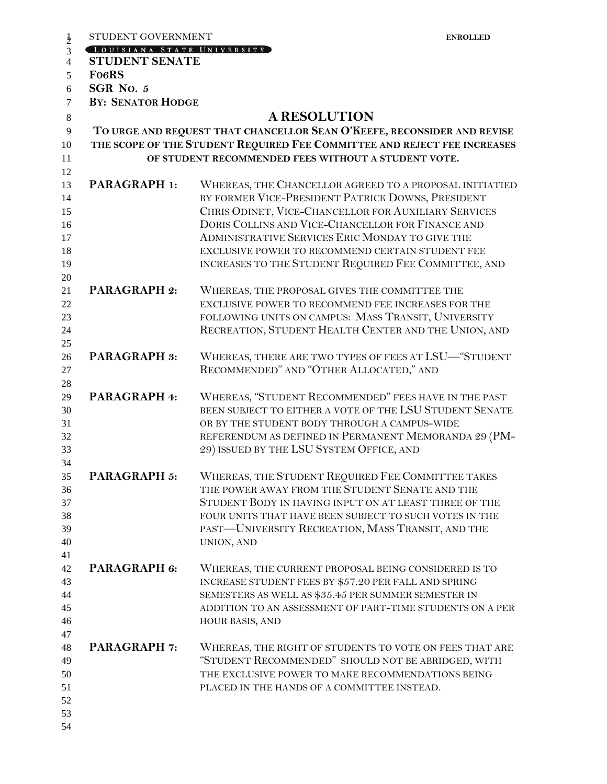|                | STUDENT GOVERNMENT                                  | <b>ENROLLED</b>                                                                                                 |  |  |
|----------------|-----------------------------------------------------|-----------------------------------------------------------------------------------------------------------------|--|--|
| $\frac{1}{2}$  | LOUISIANA STATE UNIVERSITY                          |                                                                                                                 |  |  |
| $\overline{4}$ | <b>STUDENT SENATE</b>                               |                                                                                                                 |  |  |
| 5              | <b>FO6RS</b>                                        |                                                                                                                 |  |  |
| 6              | SGR No. 5                                           |                                                                                                                 |  |  |
| $\tau$         | <b>BY: SENATOR HODGE</b>                            |                                                                                                                 |  |  |
| 8              |                                                     | <b>A RESOLUTION</b>                                                                                             |  |  |
| 9              |                                                     | TO URGE AND REQUEST THAT CHANCELLOR SEAN O'KEEFE, RECONSIDER AND REVISE                                         |  |  |
| 10             |                                                     | THE SCOPE OF THE STUDENT REQUIRED FEE COMMITTEE AND REJECT FEE INCREASES                                        |  |  |
| 11             | OF STUDENT RECOMMENDED FEES WITHOUT A STUDENT VOTE. |                                                                                                                 |  |  |
| 12             |                                                     |                                                                                                                 |  |  |
| 13             | <b>PARAGRAPH 1:</b>                                 | WHEREAS, THE CHANCELLOR AGREED TO A PROPOSAL INITIATIED                                                         |  |  |
| 14             |                                                     | BY FORMER VICE-PRESIDENT PATRICK DOWNS, PRESIDENT                                                               |  |  |
|                |                                                     | CHRIS ODINET, VICE-CHANCELLOR FOR AUXILIARY SERVICES                                                            |  |  |
| 15             |                                                     | DORIS COLLINS AND VICE-CHANCELLOR FOR FINANCE AND                                                               |  |  |
| 16             |                                                     | ADMINISTRATIVE SERVICES ERIC MONDAY TO GIVE THE                                                                 |  |  |
| 17             |                                                     |                                                                                                                 |  |  |
| 18             |                                                     | EXCLUSIVE POWER TO RECOMMEND CERTAIN STUDENT FEE                                                                |  |  |
| 19             |                                                     | INCREASES TO THE STUDENT REQUIRED FEE COMMITTEE, AND                                                            |  |  |
| 20             |                                                     |                                                                                                                 |  |  |
| 21             | <b>PARAGRAPH 2:</b>                                 | WHEREAS, THE PROPOSAL GIVES THE COMMITTEE THE                                                                   |  |  |
| 22             |                                                     | EXCLUSIVE POWER TO RECOMMEND FEE INCREASES FOR THE                                                              |  |  |
| 23             |                                                     | FOLLOWING UNITS ON CAMPUS: MASS TRANSIT, UNIVERSITY                                                             |  |  |
| 24             |                                                     | RECREATION, STUDENT HEALTH CENTER AND THE UNION, AND                                                            |  |  |
| 25             |                                                     |                                                                                                                 |  |  |
| 26             | <b>PARAGRAPH 3:</b>                                 | WHEREAS, THERE ARE TWO TYPES OF FEES AT LSU-"STUDENT                                                            |  |  |
| 27             |                                                     | RECOMMENDED" AND "OTHER ALLOCATED," AND                                                                         |  |  |
| 28             |                                                     |                                                                                                                 |  |  |
| 29             | PARAGRAPH 4:                                        | WHEREAS, "STUDENT RECOMMENDED" FEES HAVE IN THE PAST<br>BEEN SUBJECT TO EITHER A VOTE OF THE LSU STUDENT SENATE |  |  |
| 30             |                                                     |                                                                                                                 |  |  |
| 31             |                                                     | OR BY THE STUDENT BODY THROUGH A CAMPUS-WIDE                                                                    |  |  |
| 32<br>33       |                                                     | REFERENDUM AS DEFINED IN PERMANENT MEMORANDA 29 (PM-                                                            |  |  |
|                |                                                     | 29) ISSUED BY THE LSU SYSTEM OFFICE, AND                                                                        |  |  |
| 34             | <b>PARAGRAPH 5:</b>                                 | WHEREAS, THE STUDENT REQUIRED FEE COMMITTEE TAKES                                                               |  |  |
| 35<br>36       |                                                     | THE POWER AWAY FROM THE STUDENT SENATE AND THE                                                                  |  |  |
| 37             |                                                     | STUDENT BODY IN HAVING INPUT ON AT LEAST THREE OF THE                                                           |  |  |
| 38             |                                                     | FOUR UNITS THAT HAVE BEEN SUBJECT TO SUCH VOTES IN THE                                                          |  |  |
| 39             |                                                     | PAST-UNIVERSITY RECREATION, MASS TRANSIT, AND THE                                                               |  |  |
| 40             |                                                     | UNION, AND                                                                                                      |  |  |
| 41             |                                                     |                                                                                                                 |  |  |
| 42             | PARAGRAPH 6:                                        | WHEREAS, THE CURRENT PROPOSAL BEING CONSIDERED IS TO                                                            |  |  |
| 43             |                                                     | INCREASE STUDENT FEES BY \$57.20 PER FALL AND SPRING                                                            |  |  |
| 44             |                                                     | SEMESTERS AS WELL AS \$35.45 PER SUMMER SEMESTER IN                                                             |  |  |
| 45             |                                                     | ADDITION TO AN ASSESSMENT OF PART-TIME STUDENTS ON A PER                                                        |  |  |
| 46             |                                                     | HOUR BASIS, AND                                                                                                 |  |  |
| 47             |                                                     |                                                                                                                 |  |  |
| 48             | <b>PARAGRAPH 7:</b>                                 | WHEREAS, THE RIGHT OF STUDENTS TO VOTE ON FEES THAT ARE                                                         |  |  |
| 49             |                                                     | "STUDENT RECOMMENDED" SHOULD NOT BE ABRIDGED, WITH                                                              |  |  |
| 50             |                                                     | THE EXCLUSIVE POWER TO MAKE RECOMMENDATIONS BEING                                                               |  |  |
| 51             |                                                     | PLACED IN THE HANDS OF A COMMITTEE INSTEAD.                                                                     |  |  |
| 52             |                                                     |                                                                                                                 |  |  |
| 53             |                                                     |                                                                                                                 |  |  |
| 54             |                                                     |                                                                                                                 |  |  |
|                |                                                     |                                                                                                                 |  |  |